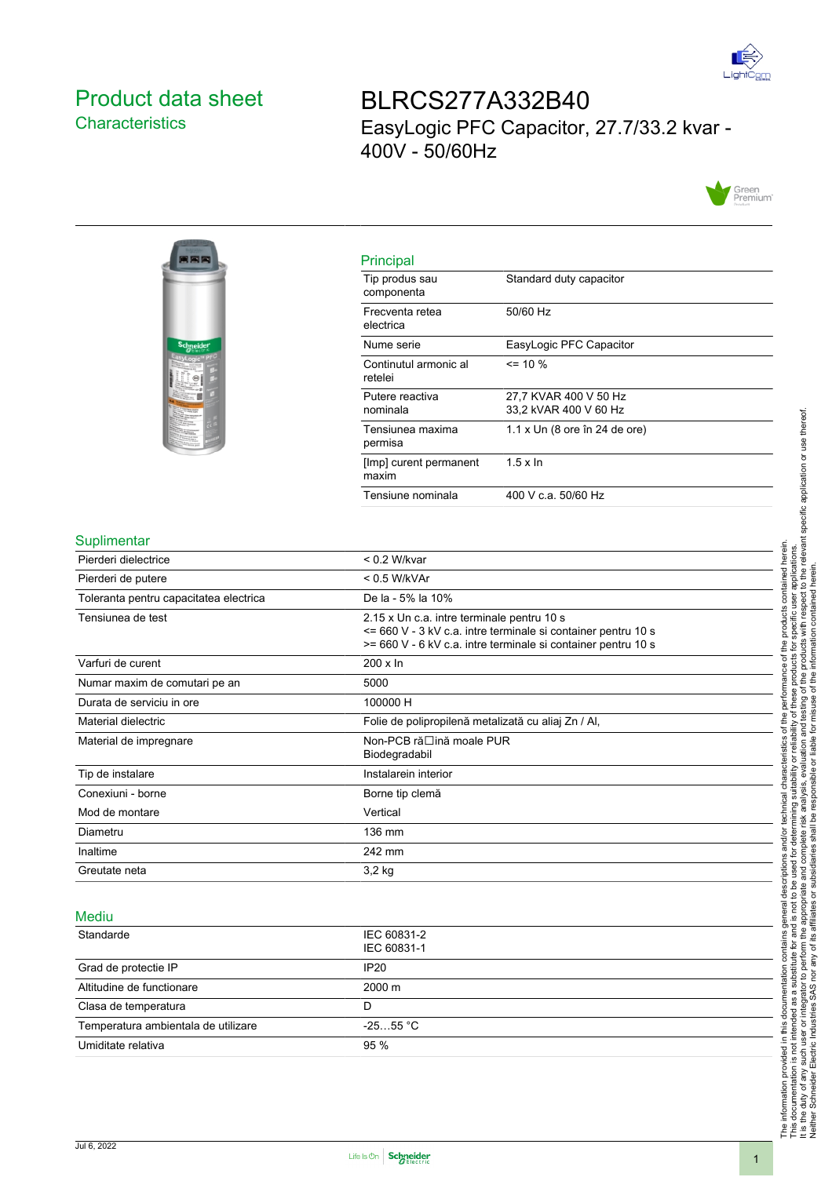

## <span id="page-0-0"></span>Product data sheet **Characteristics**

BLRCS277A332B40 EasyLogic PFC Capacitor, 27.7/33.2 kvar - 400V - 50/60Hz





| . <del>.</del>                   |                                                |
|----------------------------------|------------------------------------------------|
| Tip produs sau<br>componenta     | Standard duty capacitor                        |
| Frecventa retea<br>electrica     | 50/60 Hz                                       |
| Nume serie                       | EasyLogic PFC Capacitor                        |
| Continutul armonic al<br>retelei | $\leq$ 10 %                                    |
| Putere reactiva<br>nominala      | 27,7 KVAR 400 V 50 Hz<br>33.2 kVAR 400 V 60 Hz |
| Tensiunea maxima<br>permisa      | $1.1 \times$ Un (8 ore în 24 de ore)           |
| [Imp] curent permanent<br>maxim  | $1.5 \times \ln$                               |
| Tensiune nominala                | 400 V c.a. 50/60 Hz                            |

## **Suplimentar**

| Pierderi dielectrice                   | $< 0.2$ W/kvar                                                                                                                                                               |
|----------------------------------------|------------------------------------------------------------------------------------------------------------------------------------------------------------------------------|
| Pierderi de putere                     | < 0.5 W/kVAr                                                                                                                                                                 |
| Toleranta pentru capacitatea electrica | De la - 5% la 10%                                                                                                                                                            |
| Tensiunea de test                      | 2.15 x Un c.a. intre terminale pentru 10 s<br><= 660 V - 3 kV c.a. intre terminale si container pentru 10 s<br>>= 660 V - 6 kV c.a. intre terminale si container pentru 10 s |
| Varfuri de curent                      | $200 \times \ln$                                                                                                                                                             |
| Numar maxim de comutari pe an          | 5000                                                                                                                                                                         |
| Durata de serviciu in ore              | 100000 H                                                                                                                                                                     |
| Material dielectric                    | Folie de polipropilenă metalizată cu aliaj Zn / Al,                                                                                                                          |
| Material de impregnare                 | Non-PCB ră□ină moale PUR<br>Biodegradabil                                                                                                                                    |
| Tip de instalare                       | Instalarein interior                                                                                                                                                         |
| Conexiuni - borne                      | Borne tip clemă                                                                                                                                                              |
| Mod de montare                         | Vertical                                                                                                                                                                     |
| Diametru                               | 136 mm                                                                                                                                                                       |
| Inaltime                               | 242 mm                                                                                                                                                                       |
| Greutate neta                          | $3,2$ kg                                                                                                                                                                     |
| <b>Mediu</b>                           |                                                                                                                                                                              |
| Standarde                              | IEC 60831-2<br>IEC 60831-1                                                                                                                                                   |
| Grad de protectie IP                   | <b>IP20</b>                                                                                                                                                                  |
| Altitudine de functionare              | 2000 m                                                                                                                                                                       |
| Clasa de temperatura                   | D                                                                                                                                                                            |
| Temperatura ambientala de utilizare    | $-2555 °C$                                                                                                                                                                   |

Umiditate relativa 85 %